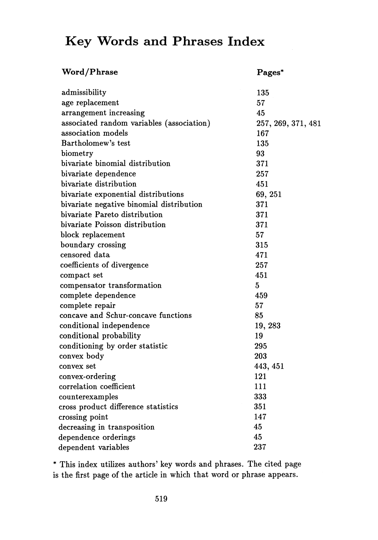## **Key Words and Phrases Index**

| <b>Word/Phrase</b>                        | Pages*             |
|-------------------------------------------|--------------------|
| admissibility                             | 135                |
| age replacement                           | 57                 |
| arrangement increasing                    | 45                 |
| associated random variables (association) | 257, 269, 371, 481 |
| association models                        | 167                |
| Bartholomew's test                        | 135                |
| biometry                                  | 93                 |
| bivariate binomial distribution           | 371                |
| bivariate dependence                      | 257                |
| bivariate distribution                    | 451                |
| bivariate exponential distributions       | 69, 251            |
| bivariate negative binomial distribution  | 371                |
| bivariate Pareto distribution             | 371                |
| bivariate Poisson distribution            | 371                |
| block replacement                         | 57                 |
| boundary crossing                         | 315                |
| censored data                             | 471                |
| coefficients of divergence                | 257                |
| compact set                               | 451                |
| compensator transformation                | 5                  |
| complete dependence                       | 459                |
| complete repair                           | 57                 |
| concave and Schur-concave functions       | 85                 |
| conditional independence                  | 19, 283            |
| conditional probability                   | 19                 |
| conditioning by order statistic           | 295                |
| convex body                               | 203                |
| convex set                                | 443, 451           |
| convex-ordering                           | 121                |
| correlation coefficient                   | 111                |
| counterexamples                           | 333                |
| cross product difference statistics       | 351                |
| crossing point                            | 147                |
| decreasing in transposition               | 45                 |
| dependence orderings                      | 45                 |
| dependent variables                       | 237                |

\* This index utilizes authors' key words and phrases. The cited page is the first page of the article in which that word or phrase appears.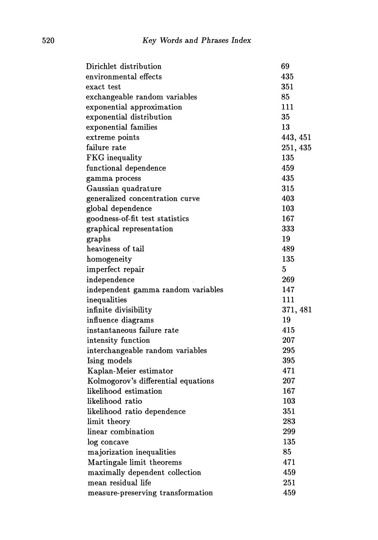| Dirichlet distribution              | 69       |
|-------------------------------------|----------|
| environmental effects               | 435      |
| exact test                          | 351      |
| exchangeable random variables       | 85       |
| exponential approximation           | 111      |
| exponential distribution            | 35       |
| exponential families                | 13       |
| extreme points                      | 443, 451 |
| failure rate                        | 251, 435 |
| <b>FKG</b> inequality               | 135      |
| functional dependence               | 459      |
| gamma process                       | 435      |
| Gaussian quadrature                 | 315      |
| generalized concentration curve     | 403      |
| global dependence                   | 103      |
| goodness-of-fit test statistics     | 167      |
| graphical representation            | 333      |
| graphs                              | 19       |
| heaviness of tail                   | 489      |
| homogeneity                         | 135      |
| imperfect repair                    | 5        |
| independence                        | 269      |
| independent gamma random variables  | 147      |
| inequalities                        | 111      |
| infinite divisibility               | 371, 481 |
| influence diagrams                  | 19       |
| instantaneous failure rate          | 415      |
| intensity function                  | 207      |
| interchangeable random variables    | 295      |
| Ising models                        | 395      |
| Kaplan-Meier estimator              | 471      |
| Kolmogorov's differential equations | 207      |
| likelihood estimation               | 167      |
| likelihood ratio                    | 103      |
| likelihood ratio dependence         | 351      |
| limit theory                        | 283      |
| linear combination                  | 299      |
| log concave                         | 135      |
| majorization inequalities           | 85       |
| Martingale limit theorems           | 471      |
| maximally dependent collection      | 459      |
| mean residual life                  | 251      |
| measure-preserving transformation   | 459      |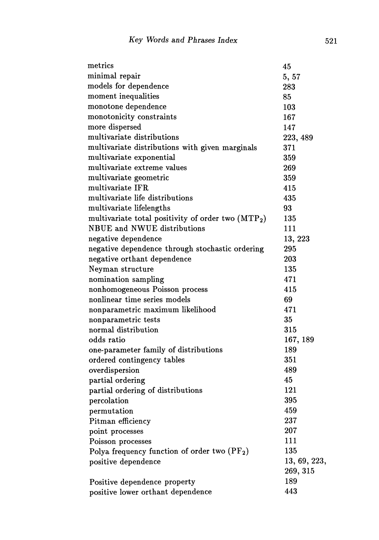| metrics                                                        | 45           |
|----------------------------------------------------------------|--------------|
| minimal repair                                                 | 5, 57        |
| models for dependence                                          | 283          |
| moment inequalities                                            | 85           |
| monotone dependence                                            | 103          |
| monotonicity constraints                                       | 167          |
| more dispersed                                                 | 147          |
| multivariate distributions                                     | 223, 489     |
| multivariate distributions with given marginals                | 371          |
| multivariate exponential                                       | 359          |
| multivariate extreme values                                    | 269          |
| multivariate geometric                                         | 359          |
| multivariate IFR                                               | 415          |
| multivariate life distributions                                | 435          |
| multivariate lifelengths                                       | 93           |
| multivariate total positivity of order two (MTP <sub>2</sub> ) | 135          |
| <b>NBUE</b> and <b>NWUE</b> distributions                      | 111          |
| negative dependence                                            | 13, 223      |
| negative dependence through stochastic ordering                | 295          |
| negative orthant dependence                                    | 203          |
| Neyman structure                                               | 135          |
| nomination sampling                                            | 471          |
| nonhomogeneous Poisson process                                 | 415          |
| nonlinear time series models                                   | 69           |
| nonparametric maximum likelihood                               | 471          |
| nonparametric tests                                            | 35           |
| normal distribution                                            | 315          |
| odds ratio                                                     | 167, 189     |
| one-parameter family of distributions                          | 189          |
| ordered contingency tables                                     | 351          |
| overdispersion                                                 | 489          |
| partial ordering                                               | 45           |
| partial ordering of distributions                              | 121          |
| percolation                                                    | 395          |
| permutation                                                    | 459          |
| Pitman efficiency                                              | 237          |
| point processes                                                | 207          |
| Poisson processes                                              | 111          |
| Polya frequency function of order two $(PF_2)$                 | 135          |
| positive dependence                                            | 13, 69, 223, |
|                                                                | 269, 315     |
| Positive dependence property                                   | 189          |
| positive lower orthant dependence                              | 443          |